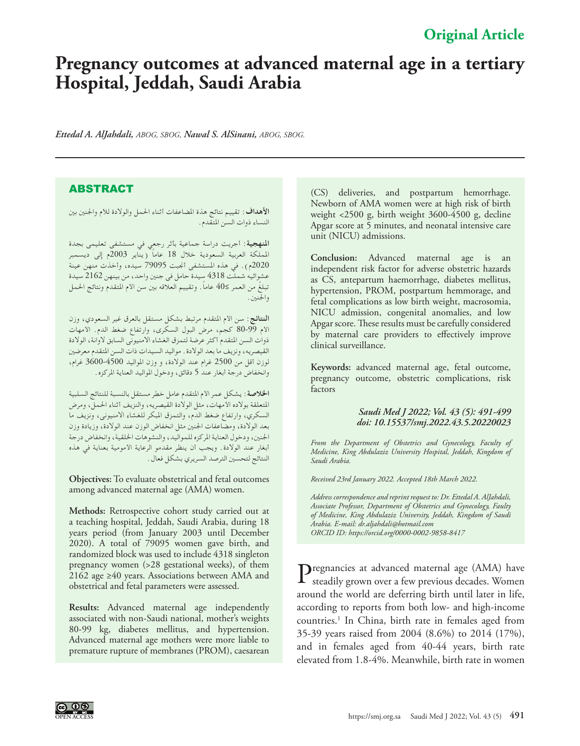## **Original Article**

# **Pregnancy outcomes at advanced maternal age in a tertiary Hospital, Jeddah, Saudi Arabia**

*Ettedal A. AlJahdali, ABOG, SBOG, Nawal S. AlSinani, ABOG, SBOG.*

### ABSTRACT

**األهداف:** تقييم نتائج هذة املضاعفات أثناء احلمل والوالدة لألم واجلنني بني النساء ذوات السن املتقدم.

**املنهجية:** أجريت دراسة جماعية بأثر رجعي في مستشفى تعليمى بجدة اململكة العربية السعودية خالل 18 ً عاما )يناير 2003م إلى ديسمبر 2020م). في هذه المستشفى أنجبت 79095 سيده، وأخذت منهن عينة عشوائيه شملت 4318 سيدة حامل فى جنني واحد، من بينهن 2162 سيدة ً تبلغ من العمر ≤40 ً عاما. وتقييم العالقه بني سن األم املتقدم ونتائج احلمل واجلنني.

**النتائج:** سن األم املتقدم مرتبط بشكل مستقل بالعرق غير السعودي، وزن األم 80-99 كجم، مرض البول السكرى، وارتفاع ضغط الدم. األمهات ذوات السن المتقدم أكثر عرضة لتمزق الغشاء الامنيوني السابق لاوانة، الولادة القيصريه، ونزيف ما بعد الوالدة. مواليد السيدات ذات السن املتقدم معرضني لوزن أقل من 2500 غرام عند الوالدة، و وزن املواليد 3600-4500 غرام، وانخفاض درجة أبغار عند 5 دقائق، ودخول املواليد العناية املركزه.

**اخلالصة:** يشكل عمر األم املتقدم عامل خطر مستقل بالنسبة للنتائج السلبية املتعلقة بوالده األمهات، مثل الوالدة القيصريه، والنزيف أثناء احلمل، ومرض السكري، وارتفاع ضغط الدم، والتمزق املبكر للغشاء االمنيونى، ونزيف ما بعد الوالدة، ومضاعفات اجلنني مثل انخفاض الوزن عند الوالدة، وزيادة وزن اجلنني، ودخول العناية املركزه للمواليد، والنشوهات اخللقية، وانخفاض درجة أبغار عند الوالدة. ويجب أن ينظر مقدمو الرعاية األمومية بعناية في هذه النتائج لتحسني الترصد السريري بشكل فعال.

**Objectives:** To evaluate obstetrical and fetal outcomes among advanced maternal age (AMA) women.

**Methods:** Retrospective cohort study carried out at a teaching hospital, Jeddah, Saudi Arabia, during 18 years period (from January 2003 until December 2020). A total of 79095 women gave birth, and randomized block was used to include 4318 singleton pregnancy women (>28 gestational weeks), of them 2162 age ≥40 years. Associations between AMA and obstetrical and fetal parameters were assessed.

**Results:** Advanced maternal age independently associated with non-Saudi national, mother's weights 80-99 kg, diabetes mellitus, and hypertension. Advanced maternal age mothers were more liable to premature rupture of membranes (PROM), caesarean

(CS) deliveries, and postpartum hemorrhage. Newborn of AMA women were at high risk of birth weight <2500 g, birth weight 3600-4500 g, decline Apgar score at 5 minutes, and neonatal intensive care unit (NICU) admissions.

**Conclusion:** Advanced maternal age is an independent risk factor for adverse obstetric hazards as CS, antepartum haemorrhage, diabetes mellitus, hypertension, PROM, postpartum hemmorage, and fetal complications as low birth weight, macrosomia, NICU admission, congenital anomalies, and low Apgar score. These results must be carefully considered by maternal care providers to effectively improve clinical surveillance.

**Keywords:** advanced maternal age, fetal outcome, pregnancy outcome, obstetric complications, risk factors

#### *Saudi Med J 2022; Vol. 43 (5): 491-499 doi: 10.15537/smj.2022.43.5.20220023*

*From the Department of Obstetrics and Gynecology, Faculty of Medicine, King Abdulaziz University Hospital, Jeddah, Kingdom of Saudi Arabia.*

*Received 23rd January 2022. Accepted 18th March 2022.*

*Address correspondence and reprint request to: Dr. Ettedal A. AlJahdali, Associate Professor, Department of Obstetrics and Gynecology, Faulty of Medicine, King Abdulaziz University, Jeddah, Kingdom of Saudi Arabia. E-mail: dr.aljahdali@hotmail.com ORCID ID: https://orcid.org/0000-0002-9858-8417*

Pregnancies at advanced maternal age (AMA) have steadily grown over a few previous decades. Women around the world are deferring birth until later in life, according to reports from both low- and high-income countries.<sup>1</sup> In China, birth rate in females aged from 35-39 years raised from 2004 (8.6%) to 2014 (17%), and in females aged from 40-44 years, birth rate elevated from 1.8-4%. Meanwhile, birth rate in women

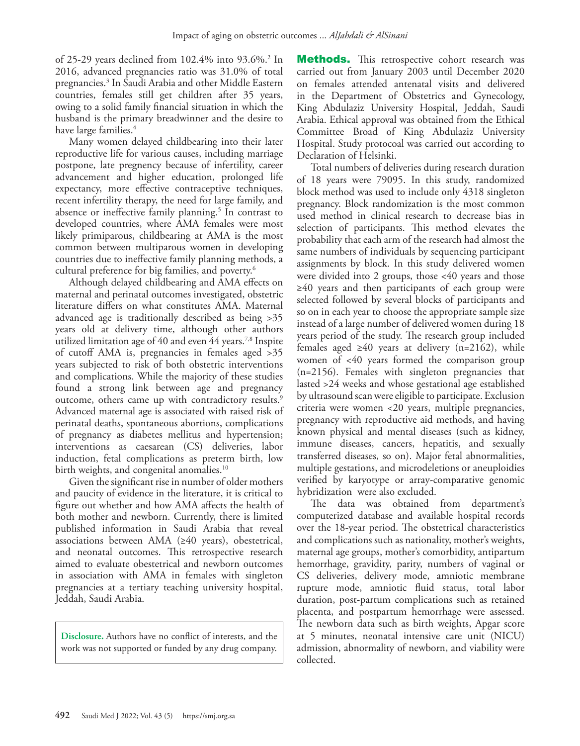of 25-29 years declined from 102.4% into 93.6%.[2](#page-7-1) In 2016, advanced pregnancies ratio was 31.0% of total pregnancies.[3](#page-7-2) In Saudi Arabia and other Middle Eastern countries, females still get children after 35 years, owing to a solid family financial situation in which the husband is the primary breadwinner and the desire to have large families.<sup>[4](#page-7-3)</sup>

Many women delayed childbearing into their later reproductive life for various causes, including marriage postpone, late pregnency because of infertility, career advancement and higher education, prolonged life expectancy, more effective contraceptive techniques, recent infertility therapy, the need for large family, and absence or ineffective family planning.<sup>[5](#page-7-4)</sup> In contrast to developed countries, where AMA females were most likely primiparous, childbearing at AMA is the most common between multiparous women in developing countries due to ineffective family planning methods, a cultural preference for big families, and poverty.<sup>6</sup>

Although delayed childbearing and AMA effects on maternal and perinatal outcomes investigated, obstetric literature differs on what constitutes AMA. Maternal advanced age is traditionally described as being >35 years old at delivery time, although other authors utilized limitation age of 40 and even 44 years[.7](#page-7-6)[,8](#page-7-7) Inspite of cutoff AMA is, pregnancies in females aged >35 years subjected to risk of both obstetric interventions and complications. While the majority of these studies found a strong link between age and pregnancy outcome, others came up with contradictory results.<sup>9</sup> Advanced maternal age is associated with raised risk of perinatal deaths, spontaneous abortions, complications of pregnancy as diabetes mellitus and hypertension; interventions as caesarean (CS) deliveries, labor induction, fetal complications as preterm birth, low birth weights, and congenital anomalies.<sup>10</sup>

Given the significant rise in number of older mothers and paucity of evidence in the literature, it is critical to figure out whether and how AMA affects the health of both mother and newborn. Currently, there is limited published information in Saudi Arabia that reveal associations between AMA (≥40 years), obestetrical, and neonatal outcomes. This retrospective research aimed to evaluate obestetrical and newborn outcomes in association with AMA in females with singleton pregnancies at a tertiary teaching university hospital, Jeddah, Saudi Arabia.

**Disclosure.** Authors have no conflict of interests, and the work was not supported or funded by any drug company.

**Methods.** This retrospective cohort research was carried out from January 2003 until December 2020 on females attended antenatal visits and delivered in the Department of Obstetrics and Gynecology, King Abdulaziz University Hospital, Jeddah, Saudi Arabia. Ethical approval was obtained from the Ethical Committee Broad of King Abdulaziz University Hospital. Study protocoal was carried out according to Declaration of Helsinki.

Total numbers of deliveries during research duration of 18 years were 79095. In this study, randomized block method was used to include only 4318 singleton pregnancy. Block randomization is the most common used method in clinical research to decrease bias in selection of participants. This method elevates the probability that each arm of the research had almost the same numbers of individuals by sequencing participant assignments by block. In this study delivered women were divided into 2 groups, those <40 years and those ≥40 years and then participants of each group were selected followed by several blocks of participants and so on in each year to choose the appropriate sample size instead of a large number of delivered women during 18 years period of the study. The research group included females aged  $\geq 40$  years at delivery (n=2162), while women of <40 years formed the comparison group (n=2156). Females with singleton pregnancies that lasted >24 weeks and whose gestational age established by ultrasound scan were eligible to participate. Exclusion criteria were women <20 years, multiple pregnancies, pregnancy with reproductive aid methods, and having known physical and mental diseases (such as kidney, immune diseases, cancers, hepatitis, and sexually transferred diseases, so on). Major fetal abnormalities, multiple gestations, and microdeletions or aneuploidies verified by karyotype or array-comparative genomic hybridization were also excluded.

The data was obtained from department's computerized database and available hospital records over the 18-year period. The obstetrical characteristics and complications such as nationality, mother's weights, maternal age groups, mother's comorbidity, antipartum hemorrhage, gravidity, parity, numbers of vaginal or CS deliveries, delivery mode, amniotic membrane rupture mode, amniotic fluid status, total labor duration, post-partum complications such as retained placenta, and postpartum hemorrhage were assessed. The newborn data such as birth weights, Apgar score at 5 minutes, neonatal intensive care unit (NICU) admission, abnormality of newborn, and viability were collected.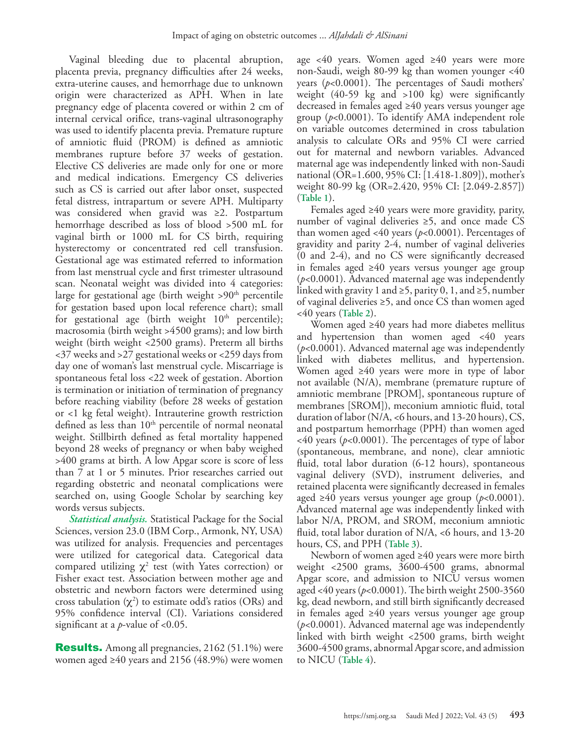Vaginal bleeding due to placental abruption, placenta previa, pregnancy difficulties after 24 weeks, extra-uterine causes, and hemorrhage due to unknown origin were characterized as APH. When in late pregnancy edge of placenta covered or within 2 cm of internal cervical orifice, trans-vaginal ultrasonography was used to identify placenta previa. Premature rupture of amniotic fluid (PROM) is defined as amniotic membranes rupture before 37 weeks of gestation. Elective CS deliveries are made only for one or more and medical indications. Emergency CS deliveries such as CS is carried out after labor onset, suspected fetal distress, intrapartum or severe APH. Multiparty was considered when gravid was ≥2. Postpartum hemorrhage described as loss of blood >500 mL for vaginal birth or 1000 mL for CS birth, requiring hysterectomy or concentrated red cell transfusion. Gestational age was estimated referred to information from last menstrual cycle and first trimester ultrasound scan. Neonatal weight was divided into 4 categories: large for gestational age (birth weight  $> 90<sup>th</sup>$  percentile for gestation based upon local reference chart); small for gestational age (birth weight  $10<sup>th</sup>$  percentile); macrosomia (birth weight >4500 grams); and low birth weight (birth weight <2500 grams). Preterm all births <37 weeks and >27 gestational weeks or <259 days from day one of woman's last menstrual cycle. Miscarriage is spontaneous fetal loss <22 week of gestation. Abortion is termination or initiation of termination of pregnancy before reaching viability (before 28 weeks of gestation or <1 kg fetal weight). Intrauterine growth restriction defined as less than  $10<sup>th</sup>$  percentile of normal neonatal weight. Stillbirth defined as fetal mortality happened beyond 28 weeks of pregnancy or when baby weighed >400 grams at birth. A low Apgar score is score of less than 7 at 1 or 5 minutes. Prior researches carried out regarding obstetric and neonatal complications were searched on, using Google Scholar by searching key words versus subjects.

*Statistical analysis.* Statistical Package for the Social Sciences, version 23.0 (IBM Corp., Armonk, NY, USA) was utilized for analysis. Frequencies and percentages were utilized for categorical data. Categorical data compared utilizing  $\chi^2$  test (with Yates correction) or Fisher exact test. Association between mother age and obstetric and newborn factors were determined using cross tabulation  $(\chi^2)$  to estimate odd's ratios (ORs) and 95% confidence interval (CI). Variations considered significant at a *p*-value of <0.05.

Results. Among all pregnancies, 2162 (51.1%) were women aged ≥40 years and 2156 (48.9%) were women age <40 years. Women aged  $\geq 40$  years were more non-Saudi, weigh 80-99 kg than women younger <40 years (*p*<0.0001). The percentages of Saudi mothers' weight (40-59 kg and >100 kg) were significantly decreased in females aged ≥40 years versus younger age group (*p*<0.0001). To identify AMA independent role on variable outcomes determined in cross tabulation analysis to calculate ORs and 95% CI were carried out for maternal and newborn variables. Advanced maternal age was independently linked with non-Saudi national (OR=1.600, 95% CI: [1.418-1.809]), mother's weight 80-99 kg (OR=2.420, 95% CI: [2.049-2.857]) (**Table 1**).

Females aged ≥40 years were more gravidity, parity, number of vaginal deliveries ≥5, and once made CS than women aged <40 years (*p*<0.0001). Percentages of gravidity and parity 2-4, number of vaginal deliveries (0 and 2-4), and no CS were significantly decreased in females aged ≥40 years versus younger age group (*p*<0.0001). Advanced maternal age was independently linked with gravity 1 and  $\geq 5$ , parity 0, 1, and  $\geq 5$ , number of vaginal deliveries ≥5, and once CS than women aged <40 years (**Table 2**).

Women aged ≥40 years had more diabetes mellitus and hypertension than women aged <40 years (*p*<0.0001). Advanced maternal age was independently linked with diabetes mellitus, and hypertension. Women aged ≥40 years were more in type of labor not available (N/A), membrane (premature rupture of amniotic membrane [PROM], spontaneous rupture of membranes [SROM]), meconium amniotic fluid, total duration of labor (N/A, <6 hours, and 13-20 hours), CS, and postpartum hemorrhage (PPH) than women aged <40 years (*p*<0.0001). The percentages of type of labor (spontaneous, membrane, and none), clear amniotic fluid, total labor duration (6-12 hours), spontaneous vaginal delivery (SVD), instrument deliveries, and retained placenta were significantly decreased in females aged ≥40 years versus younger age group (*p*<0.0001). Advanced maternal age was independently linked with labor N/A, PROM, and SROM, meconium amniotic fluid, total labor duration of N/A, <6 hours, and 13-20 hours, CS, and PPH (**Table 3**).

Newborn of women aged ≥40 years were more birth weight <2500 grams, 3600-4500 grams, abnormal Apgar score, and admission to NICU versus women aged <40 years (*p*<0.0001). The birth weight 2500-3560 kg, dead newborn, and still birth significantly decreased in females aged ≥40 years versus younger age group (*p*<0.0001). Advanced maternal age was independently linked with birth weight <2500 grams, birth weight 3600-4500 grams, abnormal Apgar score, and admission to NICU (**Table 4**).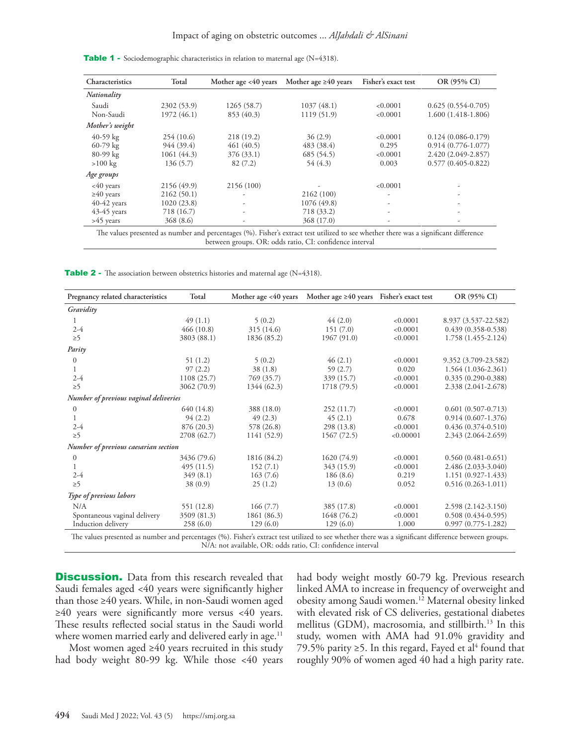| Characteristics | Total       | Mother age $<40$ years | Mother age $\geq 40$ years | Fisher's exact test | OR (95% CI)            |
|-----------------|-------------|------------------------|----------------------------|---------------------|------------------------|
| Nationality     |             |                        |                            |                     |                        |
| Saudi           | 2302 (53.9) | 1265 (58.7)            | 1037(48.1)                 | < 0.0001            | $0.625(0.554-0.705)$   |
| Non-Saudi       | 1972 (46.1) | 853 (40.3)             | 1119 (51.9)                | < 0.0001            | $1.600(1.418-1.806)$   |
| Mother's weight |             |                        |                            |                     |                        |
| 40-59 $kg$      | 254(10.6)   | 218 (19.2)             | 36(2.9)                    | < 0.0001            | $0.124(0.086 - 0.179)$ |
| 60-79 kg        | 944 (39.4)  | 461(40.5)              | 483 (38.4)                 | 0.295               | $0.914(0.776-1.077)$   |
| 80-99 kg        | 1061(44.3)  | 376 (33.1)             | 685 (54.5)                 | < 0.0001            | 2.420 (2.049-2.857)    |
| $>100$ kg       | 136(5.7)    | 82(7.2)                | 54 (4.3)                   | 0.003               | $0.577(0.405 - 0.822)$ |
| Age groups      |             |                        |                            |                     |                        |
| $<40$ years     | 2156 (49.9) | 2156 (100)             |                            | < 0.0001            |                        |
| $\geq 40$ years | 2162(50.1)  |                        | 2162 (100)                 |                     | ۰                      |
| $40-42$ years   | 1020(23.8)  |                        | 1076 (49.8)                |                     | ۰                      |
| $43-45$ years   | 718 (16.7)  |                        | 718 (33.2)                 |                     |                        |
| $>45$ years     | 368 (8.6)   |                        | 368 (17.0)                 |                     | ۰                      |

Table 1 - Sociodemographic characteristics in relation to maternal age (N=4318).

The values presented as number and percentages (%). Fisher's extract test utilized to see whether there was a significant difference between groups. OR: odds ratio, CI: confidence interval

Table 2 - The association between obstetrics histories and maternal age (N=4318).

| Pregnancy related characteristics                                                                                                                    | Total       | Mother age $<40$ years | Mother age $\geq 40$ years | Fisher's exact test | OR (95% CI)            |  |
|------------------------------------------------------------------------------------------------------------------------------------------------------|-------------|------------------------|----------------------------|---------------------|------------------------|--|
| Gravidity                                                                                                                                            |             |                        |                            |                     |                        |  |
| $\mathbf{L}$                                                                                                                                         | 49(1.1)     | 5(0.2)                 | 44(2.0)                    | < 0.0001            | 8.937 (3.537-22.582)   |  |
| $2 - 4$                                                                                                                                              | 466(10.8)   | 315 (14.6)             | 151(7.0)                   | < 0.0001            | $0.439(0.358-0.538)$   |  |
| $\geq 5$                                                                                                                                             | 3803 (88.1) | 1836 (85.2)            | 1967 (91.0)                | < 0.0001            | 1.758 (1.455-2.124)    |  |
| Parity                                                                                                                                               |             |                        |                            |                     |                        |  |
| $\sigma$                                                                                                                                             | 51(1.2)     | 5(0.2)                 | 46(2.1)                    | < 0.0001            | 9.352 (3.709-23.582)   |  |
|                                                                                                                                                      | 97(2.2)     | 38(1.8)                | 59(2.7)                    | 0.020               | 1.564 (1.036-2.361)    |  |
| $2 - 4$                                                                                                                                              | 1108(25.7)  | 769 (35.7)             | 339 (15.7)                 | < 0.0001            | $0.335(0.290-0.388)$   |  |
| $\geq 5$                                                                                                                                             | 3062 (70.9) | 1344 (62.3)            | 1718 (79.5)                | < 0.0001            | 2.338 (2.041-2.678)    |  |
| Number of previous vaginal deliveries                                                                                                                |             |                        |                            |                     |                        |  |
| $\overline{0}$                                                                                                                                       | 640 (14.8)  | 388 (18.0)             | 252(11.7)                  | < 0.0001            | $0.601(0.507 - 0.713)$ |  |
|                                                                                                                                                      | 94(2.2)     | 49(2.3)                | 45(2.1)                    | 0.678               | $0.914(0.607-1.376)$   |  |
| $2 - 4$                                                                                                                                              | 876 (20.3)  | 578 (26.8)             | 298 (13.8)                 | < 0.0001            | $0.436(0.374-0.510)$   |  |
| $\geq 5$                                                                                                                                             | 2708 (62.7) | 1141 (52.9)            | 1567 (72.5)                | < 0.00001           | 2.343 (2.064-2.659)    |  |
| Number of previous caesarian section                                                                                                                 |             |                        |                            |                     |                        |  |
| $\overline{0}$                                                                                                                                       | 3436 (79.6) | 1816 (84.2)            | 1620 (74.9)                | < 0.0001            | $0.560(0.481 - 0.651)$ |  |
| 1                                                                                                                                                    | 495(11.5)   | 152(7.1)               | 343 (15.9)                 | < 0.0001            | 2.486 (2.033-3.040)    |  |
| $2 - 4$                                                                                                                                              | 349(8.1)    | 163(7.6)               | 186(8.6)                   | 0.219               | $1.151(0.927-1.433)$   |  |
| $\geq 5$                                                                                                                                             | 38(0.9)     | 25(1.2)                | 13(0.6)                    | 0.052               | $0.516(0.263-1.011)$   |  |
| Type of previous labors                                                                                                                              |             |                        |                            |                     |                        |  |
| N/A                                                                                                                                                  | 551 (12.8)  | 166(7.7)               | 385 (17.8)                 | < 0.0001            | 2.598 (2.142-3.150)    |  |
| Spontaneous vaginal delivery                                                                                                                         | 3509 (81.3) | 1861 (86.3)            | 1648 (76.2)                | < 0.0001            | $0.508(0.434-0.595)$   |  |
| Induction delivery                                                                                                                                   | 258(6.0)    | 129(6.0)               | 129(6.0)                   | 1.000               | $0.997(0.775-1.282)$   |  |
| The values presented as number and percentages (%). Fisher's extract test utilized to see whether there was a significant difference between groups. |             |                        |                            |                     |                        |  |

N/A: not available, OR: odds ratio, CI: confidence interval

**Discussion.** Data from this research revealed that Saudi females aged <40 years were significantly higher than those ≥40 years. While, in non-Saudi women aged ≥40 years were significantly more versus <40 years. These results reflected social status in the Saudi world where women married early and delivered early in age.<sup>11</sup>

Most women aged ≥40 years recruited in this study had body weight 80-99 kg. While those <40 years had body weight mostly 60-79 kg. Previous research linked AMA to increase in frequency of overweight and obesity among Saudi women.<sup>12</sup> Maternal obesity linked with elevated risk of CS deliveries, gestational diabetes mellitus (GDM), macrosomia, and stillbirth.[13](#page-7-12) In this study, women with AMA had 91.0% gravidity and 79.5% parity ≥5. In this regard, Fayed et al<sup>4</sup> found that roughly 90% of women aged 40 had a high parity rate.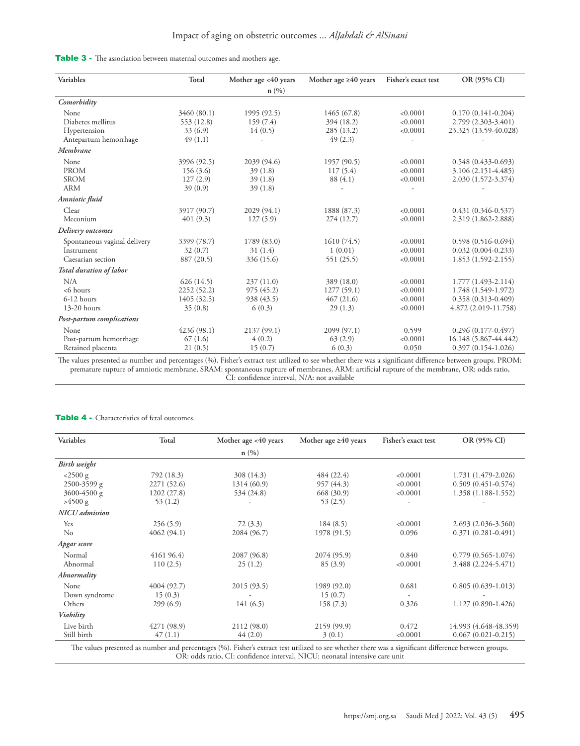|  | Table 3 - The association between maternal outcomes and mothers age. |  |  |  |  |  |  |
|--|----------------------------------------------------------------------|--|--|--|--|--|--|
|--|----------------------------------------------------------------------|--|--|--|--|--|--|

| Variables                      | Total       | Mother age <40 years | Mother age $\geq 40$ years | Fisher's exact test | OR (95% CI)            |
|--------------------------------|-------------|----------------------|----------------------------|---------------------|------------------------|
|                                |             | n(%)                 |                            |                     |                        |
| Comorbidity                    |             |                      |                            |                     |                        |
| <b>None</b>                    | 3460 (80.1) | 1995 (92.5)          | 1465 (67.8)                | < 0.0001            | $0.170(0.141-0.204)$   |
| Diabetes mellitus              | 553 (12.8)  | 159 (7.4)            | 394 (18.2)                 | < 0.0001            | 2.799 (2.303-3.401)    |
| Hypertension                   | 33(6.9)     | 14(0.5)              | 285 (13.2)                 | < 0.0001            | 23.325 (13.59-40.028)  |
| Antepartum hemorrhage          | 49(1.1)     |                      | 49(2.3)                    |                     |                        |
| Membrane                       |             |                      |                            |                     |                        |
| None                           | 3996 (92.5) | 2039 (94.6)          | 1957 (90.5)                | < 0.0001            | $0.548(0.433 - 0.693)$ |
| <b>PROM</b>                    | 156(3.6)    | 39(1.8)              | 117(5.4)                   | < 0.0001            | 3.106 (2.151-4.485)    |
| <b>SROM</b>                    | 127(2.9)    | 39(1.8)              | 88 (4.1)                   | < 0.0001            | 2.030 (1.572-3.374)    |
| <b>ARM</b>                     | 39(0.9)     | 39(1.8)              |                            |                     |                        |
| Amniotic fluid                 |             |                      |                            |                     |                        |
| Clear                          | 3917 (90.7) | 2029 (94.1)          | 1888 (87.3)                | < 0.0001            | $0.431(0.346 - 0.537)$ |
| Meconium                       | 401(9.3)    | 127(5.9)             | 274 (12.7)                 | < 0.0001            | 2.319 (1.862-2.888)    |
| Delivery outcomes              |             |                      |                            |                     |                        |
| Spontaneous vaginal delivery   | 3399 (78.7) | 1789 (83.0)          | 1610(74.5)                 | < 0.0001            | $0.598(0.516-0.694)$   |
| Instrument                     | 32(0.7)     | 31(1.4)              | 1(0.01)                    | < 0.0001            | $0.032(0.004-0.233)$   |
| Caesarian section              | 887 (20.5)  | 336 (15.6)           | 551 (25.5)                 | < 0.0001            | $1.853(1.592 - 2.155)$ |
| <b>Total duration of labor</b> |             |                      |                            |                     |                        |
| N/A                            | 626(14.5)   | 237(11.0)            | 389 (18.0)                 | < 0.0001            | $1.777(1.493 - 2.114)$ |
| $<$ 6 hours                    | 2252 (52.2) | 975(45.2)            | 1277(59.1)                 | < 0.0001            | 1.748 (1.549-1.972)    |
| $6-12$ hours                   | 1405 (32.5) | 938 (43.5)           | 467(21.6)                  | < 0.0001            | $0.358(0.313 - 0.409)$ |
| $13-20$ hours                  | 35(0.8)     | 6(0.3)               | 29(1.3)                    | < 0.0001            | 4.872 (2.019-11.758)   |
| Post-partum complications      |             |                      |                            |                     |                        |
| None                           | 4236 (98.1) | 2137 (99.1)          | 2099 (97.1)                | 0.599               | $0.296(0.177-0.497)$   |
| Post-partum hemorrhage         | 67(1.6)     | 4(0.2)               | 63(2.9)                    | < 0.0001            | 16.148 (5.867-44.442)  |
| Retained placenta              | 21(0.5)     | 15(0.7)              | 6(0.3)                     | 0.050               | $0.397(0.154-1.026)$   |

The values presented as number and percentages (%). Fisher's extract test utilized to see whether there was a significant difference between groups. PROM: premature rupture of amniotic membrane, SRAM: spontaneous rupture of membranes, ARM: artificial rupture of the membrane, OR: odds ratio, CI: confidence interval, N/A: not available

| Variables             | Total       | Mother age <40 years | Mother age $\geq 40$ years | Fisher's exact test | OR (95% CI)            |
|-----------------------|-------------|----------------------|----------------------------|---------------------|------------------------|
|                       |             | n(%)                 |                            |                     |                        |
| Birth weight          |             |                      |                            |                     |                        |
| $<$ 2500 g            | 792 (18.3)  | 308 (14.3)           | 484 (22.4)                 | < 0.0001            | 1.731 (1.479-2.026)    |
| 2500-3599 g           | 2271 (52.6) | 1314 (60.9)          | 957 (44.3)                 | < 0.0001            | $0.509(0.451-0.574)$   |
| $3600 - 4500$ g       | 1202(27.8)  | 534 (24.8)           | 668 (30.9)                 | < 0.0001            | 1.358 (1.188-1.552)    |
| >4500 g               | 53(1.2)     |                      | 53(2.5)                    |                     |                        |
| <b>NICU</b> admission |             |                      |                            |                     |                        |
| Yes                   | 256(5.9)    | 72(3.3)              | 184(8.5)                   | < 0.0001            | 2.693 (2.036-3.560)    |
| $\rm No$              | 4062(94.1)  | 2084 (96.7)          | 1978 (91.5)                | 0.096               | $0.371(0.281 - 0.491)$ |
| Apgar score           |             |                      |                            |                     |                        |
| Normal                | 4161 96.4)  | 2087 (96.8)          | 2074 (95.9)                | 0.840               | $0.779(0.565-1.074)$   |
| Abnormal              | 110(2.5)    | 25(1.2)              | 85(3.9)                    | < 0.0001            | 3.488 (2.224-5.471)    |
| Abnormality           |             |                      |                            |                     |                        |
| None                  | 4004 (92.7) | 2015(93.5)           | 1989 (92.0)                | 0.681               | $0.805(0.639-1.013)$   |
| Down syndrome         | 15(0.3)     |                      | 15(0.7)                    |                     |                        |
| Others                | 299(6.9)    | 141(6.5)             | 158(7.3)                   | 0.326               | 1.127 (0.890-1.426)    |
| Viability             |             |                      |                            |                     |                        |
| Live birth            | 4271 (98.9) | 2112 (98.0)          | 2159 (99.9)                | 0.472               | 14.993 (4.648-48.359)  |
| Still birth           | 47(1.1)     | 44(2.0)              | 3(0.1)                     | < 0.0001            | $0.067(0.021 - 0.215)$ |

#### Table 4 - Characteristics of fetal outcomes.

The values presented as number and percentages (%). Fisher's extract test utilized to see whether there was a significant difference between groups. OR: odds ratio, CI: confidence interval, NICU: neonatal intensive care unit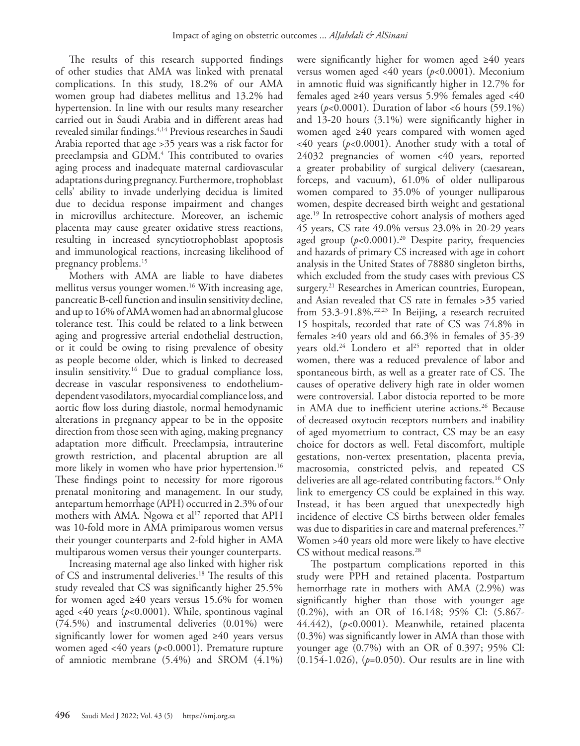The results of this research supported findings of other studies that AMA was linked with prenatal complications. In this study, 18.2% of our AMA women group had diabetes mellitus and 13.2% had hypertension. In line with our results many researcher carried out in Saudi Arabia and in different areas had revealed similar findings.[4,](#page-7-3)[14](#page-7-13) Previous researches in Saudi Arabia reported that age >35 years was a risk factor for preeclampsia and GDM[.4](#page-7-3) This contributed to ovaries aging process and inadequate maternal cardiovascular adaptations during pregnancy. Furthermore, trophoblast cells' ability to invade underlying decidua is limited due to decidua response impairment and changes in microvillus architecture. Moreover, an ischemic placenta may cause greater oxidative stress reactions, resulting in increased syncytiotrophoblast apoptosis and immunological reactions, increasing likelihood of pregnancy problems[.15](#page-7-14)

Mothers with AMA are liable to have diabetes mellitus versus younger women.[16](#page-7-15) With increasing age, pancreatic B-cell function and insulin sensitivity decline, and up to 16% of AMA women had an abnormal glucose tolerance test. This could be related to a link between aging and progressive arterial endothelial destruction, or it could be owing to rising prevalence of obesity as people become older, which is linked to decreased insulin sensitivity.[16](#page-7-15) Due to gradual compliance loss, decrease in vascular responsiveness to endotheliumdependent vasodilators, myocardial compliance loss, and aortic flow loss during diastole, normal hemodynamic alterations in pregnancy appear to be in the opposite direction from those seen with aging, making pregnancy adaptation more difficult. Preeclampsia, intrauterine growth restriction, and placental abruption are all more likely in women who have prior hypertension.<sup>16</sup> These findings point to necessity for more rigorous prenatal monitoring and management. In our study, antepartum hemorrhage (APH) occurred in 2.3% of our mothers with AMA. Ngowa et al<sup>17</sup> reported that APH was 10-fold more in AMA primiparous women versus their younger counterparts and 2-fold higher in AMA multiparous women versus their younger counterparts.

Increasing maternal age also linked with higher risk of CS and instrumental deliveries.<sup>[18](#page-7-17)</sup> The results of this study revealed that CS was significantly higher 25.5% for women aged ≥40 years versus 15.6% for women aged <40 years (*p*<0.0001). While, spontinous vaginal (74.5%) and instrumental deliveries (0.01%) were significantly lower for women aged ≥40 years versus women aged <40 years (*p*<0.0001). Premature rupture of amniotic membrane (5.4%) and SROM (4.1%)

were significantly higher for women aged ≥40 years versus women aged <40 years (*p*<0.0001). Meconium in amnotic fluid was significantly higher in 12.7% for females aged  $\geq 40$  years versus 5.9% females aged <40 years ( $p < 0.0001$ ). Duration of labor  $< 6$  hours (59.1%) and 13-20 hours (3.1%) were significantly higher in women aged ≥40 years compared with women aged  $<40$  years ( $p<0.0001$ ). Another study with a total of 24032 pregnancies of women <40 years, reported a greater probability of surgical delivery (caesarean, forceps, and vacuum), 61.0% of older nulliparous women compared to 35.0% of younger nulliparous women, despite decreased birth weight and gestational age.<sup>19</sup> In retrospective cohort analysis of mothers aged 45 years, CS rate 49.0% versus 23.0% in 20-29 years aged group  $(p<0.0001)$ .<sup>[20](#page-7-19)</sup> Despite parity, frequencies and hazards of primary CS increased with age in cohort analysis in the United States of 78880 singleton births, which excluded from the study cases with previous CS surgery.<sup>21</sup> Researches in American countries, European, and Asian revealed that CS rate in females >35 varied from  $53.3-91.8\%$ <sup>[22](#page-7-21),[23](#page-7-22)</sup> In Beijing, a research recruited 15 hospitals, recorded that rate of CS was 74.8% in females  $\geq 40$  years old and 66.3% in females of 35-39 years old.<sup>24</sup> Londero et al<sup>25</sup> reported that in older women, there was a reduced prevalence of labor and spontaneous birth, as well as a greater rate of CS. The causes of operative delivery high rate in older women were controversial. Labor distocia reported to be more in AMA due to inefficient uterine actions.<sup>26</sup> Because of decreased oxytocin receptors numbers and inability of aged myometrium to contract, CS may be an easy choice for doctors as well. Fetal discomfort, multiple gestations, non-vertex presentation, placenta previa, macrosomia, constricted pelvis, and repeated CS deliveries are all age-related contributing factors.[16](#page-7-15) Only link to emergency CS could be explained in this way. Instead, it has been argued that unexpectedly high incidence of elective CS births between older females was due to disparities in care and maternal preferences.<sup>27</sup> Women >40 years old more were likely to have elective CS without medical reasons.<sup>[28](#page-7-27)</sup>

The postpartum complications reported in this study were PPH and retained placenta. Postpartum hemorrhage rate in mothers with AMA (2.9%) was significantly higher than those with younger age (0.2%), with an OR of 16.148; 95% Cl: (5.867- 44.442), (*p*<0.0001). Meanwhile, retained placenta (0.3%) was significantly lower in AMA than those with younger age (0.7%) with an OR of 0.397; 95% Cl: (0.154-1.026), (*p*=0.050). Our results are in line with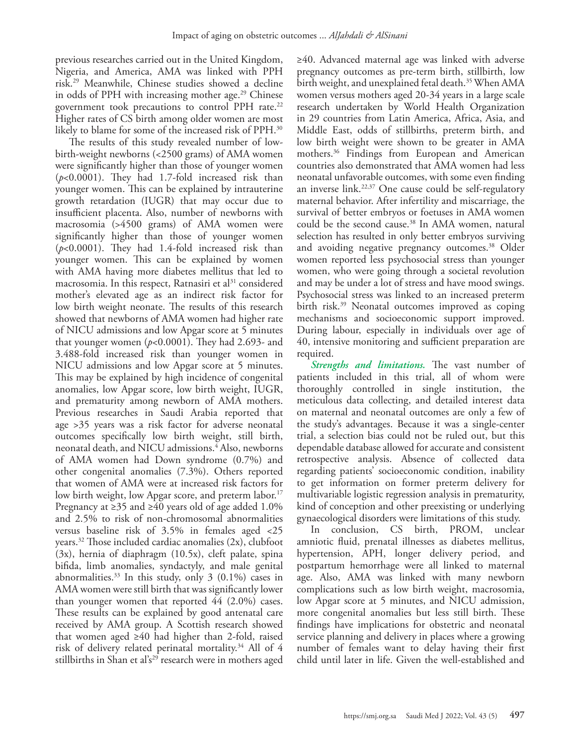previous researches carried out in the United Kingdom, Nigeria, and America, AMA was linked with PPH risk.[29](#page-7-28) Meanwhile, Chinese studies showed a decline in odds of PPH with increasing mother age.<sup>[29](#page-7-28)</sup> Chinese government took precautions to control PPH rate.<sup>22</sup> Higher rates of CS birth among older women are most likely to blame for some of the increased risk of PPH.[30](#page-7-29)

The results of this study revealed number of lowbirth-weight newborns (<2500 grams) of AMA women were significantly higher than those of younger women (*p*<0.0001). They had 1.7-fold increased risk than younger women. This can be explained by intrauterine growth retardation (IUGR) that may occur due to insufficient placenta. Also, number of newborns with macrosomia (>4500 grams) of AMA women were significantly higher than those of younger women (*p*<0.0001). They had 1.4-fold increased risk than younger women. This can be explained by women with AMA having more diabetes mellitus that led to macrosomia. In this respect, Ratnasiri et al<sup>31</sup> considered mother's elevated age as an indirect risk factor for low birth weight neonate. The results of this research showed that newborns of AMA women had higher rate of NICU admissions and low Apgar score at 5 minutes that younger women  $(p<0.0001)$ . They had 2.693- and 3.488-fold increased risk than younger women in NICU admissions and low Apgar score at 5 minutes. This may be explained by high incidence of congenital anomalies, low Apgar score, low birth weight, IUGR, and prematurity among newborn of AMA mothers. Previous researches in Saudi Arabia reported that age >35 years was a risk factor for adverse neonatal outcomes specifically low birth weight, still birth, neonatal death, and NICU admissions.[4](#page-7-3) Also, newborns of AMA women had Down syndrome (0.7%) and other congenital anomalies (7.3%). Others reported that women of AMA were at increased risk factors for low birth weight, low Apgar score, and preterm labor.<sup>17</sup> Pregnancy at ≥35 and ≥40 years old of age added 1.0% and 2.5% to risk of non-chromosomal abnormalities versus baseline risk of 3.5% in females aged <25 years[.32](#page-8-1) Those included cardiac anomalies (2x), clubfoot (3x), hernia of diaphragm (10.5x), cleft palate, spina bifida, limb anomalies, syndactyly, and male genital abnormalities. $33$  In this study, only 3 (0.1%) cases in AMA women were still birth that was significantly lower than younger women that reported 44 (2.0%) cases. These results can be explained by good antenatal care received by AMA group. A Scottish research showed that women aged ≥40 had higher than 2-fold, raised risk of delivery related perinatal mortality.<sup>[34](#page-8-2)</sup> All of 4 stillbirths in Shan et al's<sup>29</sup> research were in mothers aged

≥40. Advanced maternal age was linked with adverse pregnancy outcomes as pre-term birth, stillbirth, low birth weight, and unexplained fetal death.<sup>35</sup> When AMA women versus mothers aged 20-34 years in a large scale research undertaken by World Health Organization in 29 countries from Latin America, Africa, Asia, and Middle East, odds of stillbirths, preterm birth, and low birth weight were shown to be greater in AMA mothers.<sup>36</sup> Findings from European and American countries also demonstrated that AMA women had less neonatal unfavorable outcomes, with some even finding an inverse link.<sup>[22](#page-7-21),[37](#page-8-5)</sup> One cause could be self-regulatory maternal behavior. After infertility and miscarriage, the survival of better embryos or foetuses in AMA women could be the second cause.<sup>38</sup> In AMA women, natural selection has resulted in only better embryos surviving and avoiding negative pregnancy outcomes.<sup>38</sup> Older women reported less psychosocial stress than younger women, who were going through a societal revolution and may be under a lot of stress and have mood swings. Psychosocial stress was linked to an increased preterm birth risk.<sup>39</sup> Neonatal outcomes improved as coping mechanisms and socioeconomic support improved. During labour, especially in individuals over age of 40, intensive monitoring and sufficient preparation are required.

*Strengths and limitations.* The vast number of patients included in this trial, all of whom were thoroughly controlled in single institution, the meticulous data collecting, and detailed interest data on maternal and neonatal outcomes are only a few of the study's advantages. Because it was a single-center trial, a selection bias could not be ruled out, but this dependable database allowed for accurate and consistent retrospective analysis. Absence of collected data regarding patients' socioeconomic condition, inability to get information on former preterm delivery for multivariable logistic regression analysis in prematurity, kind of conception and other preexisting or underlying gynaecological disorders were limitations of this study.

In conclusion, CS birth, PROM, unclear amniotic fluid, prenatal illnesses as diabetes mellitus, hypertension, APH, longer delivery period, and postpartum hemorrhage were all linked to maternal age. Also, AMA was linked with many newborn complications such as low birth weight, macrosomia, low Apgar score at 5 minutes, and NICU admission, more congenital anomalies but less still birth. These findings have implications for obstetric and neonatal service planning and delivery in places where a growing number of females want to delay having their first child until later in life. Given the well-established and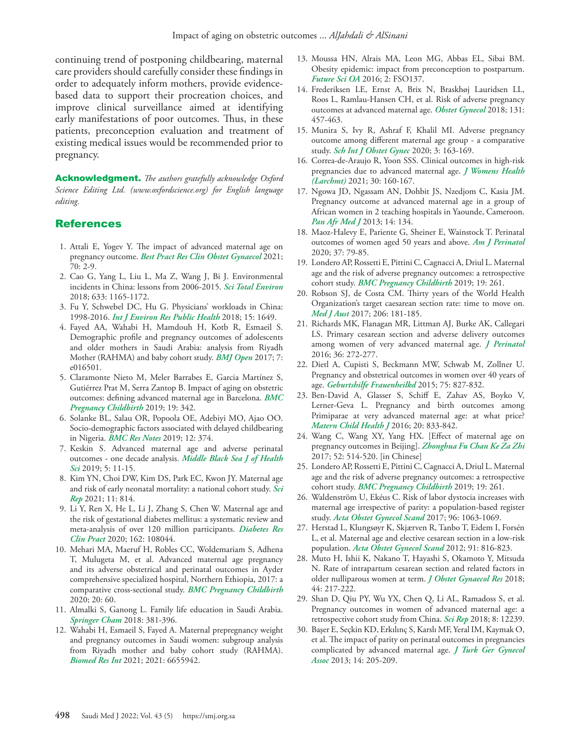continuing trend of postponing childbearing, maternal care providers should carefully consider these findings in order to adequately inform mothers, provide evidencebased data to support their procreation choices, and improve clinical surveillance aimed at identifying early manifestations of poor outcomes. Thus, in these patients, preconception evaluation and treatment of existing medical issues would be recommended prior to pregnancy.

Acknowledgment. *The authors gratefully acknowledge Oxford Science Editing Ltd. (www.oxfordscience.org) for English language editing.*

#### References

- <span id="page-7-0"></span> 1. [Attali E, Yogev Y. The impact of advanced maternal age on](https://pubmed.ncbi.nlm.nih.gov/32773291/)  pregnancy outcome. *[Best Pract Res Clin Obstet Gynaecol](https://pubmed.ncbi.nlm.nih.gov/32773291/)* 2021; [70: 2-9.](https://pubmed.ncbi.nlm.nih.gov/32773291/)
- <span id="page-7-1"></span> 2. [Cao G, Yang L, Liu L, Ma Z, Wang J, Bi J. Environmental](https://pubmed.ncbi.nlm.nih.gov/29758868/)  [incidents in China: lessons from 2006-2015.](https://pubmed.ncbi.nlm.nih.gov/29758868/) *Sci Total Environ* [2018; 633: 1165-1172.](https://pubmed.ncbi.nlm.nih.gov/29758868/)
- <span id="page-7-2"></span> 3. [Fu Y, Schwebel DC, Hu G. Physicians' workloads in China:](https://pubmed.ncbi.nlm.nih.gov/30081497/)  1998-2016. *[Int J Environ Res Public Health](https://pubmed.ncbi.nlm.nih.gov/30081497/)* 2018; 15: 1649.
- <span id="page-7-3"></span> 4. [Fayed AA, Wahabi H, Mamdouh H, Kotb R, Esmaeil S.](https://pubmed.ncbi.nlm.nih.gov/28893746/)  [Demographic profile and pregnancy outcomes of adolescents](https://pubmed.ncbi.nlm.nih.gov/28893746/)  [and older mothers in Saudi Arabia: analysis from Riyadh](https://pubmed.ncbi.nlm.nih.gov/28893746/)  [Mother \(RAHMA\) and baby cohort study.](https://pubmed.ncbi.nlm.nih.gov/28893746/) *BMJ Open* 2017; 7: [e016501.](https://pubmed.ncbi.nlm.nih.gov/28893746/)
- <span id="page-7-4"></span> 5. [Claramonte Nieto M, Meler Barrabes E, Garcia Martínez S,](https://pubmed.ncbi.nlm.nih.gov/31547808/)  [Gutiérrez Prat M, Serra Zantop B. Impact of aging on obstetric](https://pubmed.ncbi.nlm.nih.gov/31547808/)  [outcomes: defining advanced maternal age in Barcelona.](https://pubmed.ncbi.nlm.nih.gov/31547808/) *BMC [Pregnancy Childbirth](https://pubmed.ncbi.nlm.nih.gov/31547808/)* 2019; 19: 342.
- <span id="page-7-5"></span> 6. [Solanke BL, Salau OR, Popoola OE, Adebiyi MO, Ajao OO.](https://pubmed.ncbi.nlm.nih.gov/31262350/)  [Socio-demographic factors associated with delayed childbearing](https://pubmed.ncbi.nlm.nih.gov/31262350/)  in Nigeria. *BMC Res Notes* [2019; 12: 374.](https://pubmed.ncbi.nlm.nih.gov/31262350/)
- <span id="page-7-6"></span> 7. [Keskin S. Advanced maternal age and adverse perinatal](https://dergipark.org.tr/en/pub/mbsjohs/issue/44108/542026)  [outcomes - one decade analysis.](https://dergipark.org.tr/en/pub/mbsjohs/issue/44108/542026) *Middle Black Sea J of Health Sci* [2019; 5: 11-15.](https://dergipark.org.tr/en/pub/mbsjohs/issue/44108/542026)
- <span id="page-7-7"></span> 8. [Kim YN, Choi DW, Kim DS, Park EC, Kwon JY. Maternal age](https://pubmed.ncbi.nlm.nih.gov/33436971/)  [and risk of early neonatal mortality: a national cohort study.](https://pubmed.ncbi.nlm.nih.gov/33436971/) *Sci Rep* [2021; 11: 814.](https://pubmed.ncbi.nlm.nih.gov/33436971/)
- <span id="page-7-8"></span> 9. [Li Y, Ren X, He L, Li J, Zhang S, Chen W. Maternal age and](https://pubmed.ncbi.nlm.nih.gov/32017960/)  [the risk of gestational diabetes mellitus: a systematic review and](https://pubmed.ncbi.nlm.nih.gov/32017960/)  [meta-analysis of over 120 million participants.](https://pubmed.ncbi.nlm.nih.gov/32017960/) *Diabetes Res Clin Pract* [2020; 162: 108044.](https://pubmed.ncbi.nlm.nih.gov/32017960/)
- <span id="page-7-9"></span>10. [Mehari MA, Maeruf H, Robles CC, Woldemariam S, Adhena](https://pubmed.ncbi.nlm.nih.gov/32000714/)  [T, Mulugeta M, et al. Advanced maternal age pregnancy](https://pubmed.ncbi.nlm.nih.gov/32000714/)  [and its adverse obstetrical and perinatal outcomes in Ayder](https://pubmed.ncbi.nlm.nih.gov/32000714/)  [comprehensive specialized hospital, Northern Ethiopia, 2017: a](https://pubmed.ncbi.nlm.nih.gov/32000714/)  [comparative cross-sectional study.](https://pubmed.ncbi.nlm.nih.gov/32000714/) *BMC Pregnancy Childbirth* [2020; 20: 60.](https://pubmed.ncbi.nlm.nih.gov/32000714/)
- <span id="page-7-10"></span>11. [Almalki S, Ganong L. Family life education in Saudi Arabia.](https://link.springer.com/chapter/10.1007/978-3-319-77589-0_24)  *Springer Cham* [2018: 381-396.](https://link.springer.com/chapter/10.1007/978-3-319-77589-0_24)
- <span id="page-7-11"></span>12. [Wahabi H, Esmaeil S, Fayed A. Maternal prepregnancy weight](https://pubmed.ncbi.nlm.nih.gov/33869631/)  [and pregnancy outcomes in Saudi women: subgroup analysis](https://pubmed.ncbi.nlm.nih.gov/33869631/)  [from Riyadh mother and baby cohort study \(RAHMA\).](https://pubmed.ncbi.nlm.nih.gov/33869631/)  *Biomed Res Int* [2021; 2021: 6655942.](https://pubmed.ncbi.nlm.nih.gov/33869631/)
- <span id="page-7-12"></span>13. [Moussa HN, Alrais MA, Leon MG, Abbas EL, Sibai BM.](https://www.future-science.com/doi/10.4155/fsoa-2016-0035)  [Obesity epidemic: impact from preconception to postpartum.](https://www.future-science.com/doi/10.4155/fsoa-2016-0035)  *Future Sci OA* [2016; 2: FSO137.](https://www.future-science.com/doi/10.4155/fsoa-2016-0035)
- <span id="page-7-13"></span>14. [Frederiksen LE, Ernst A, Brix N, Braskhøj Lauridsen LL,](https://pubmed.ncbi.nlm.nih.gov/29420406/)  [Roos L, Ramlau-Hansen CH, et al. Risk of adverse pregnancy](https://pubmed.ncbi.nlm.nih.gov/29420406/)  [outcomes at advanced maternal age.](https://pubmed.ncbi.nlm.nih.gov/29420406/) *Obstet Gynecol* 2018; 131: [457-463.](https://pubmed.ncbi.nlm.nih.gov/29420406/)
- <span id="page-7-14"></span>15. [Munira S, Ivy R, Ashraf F, Khalil MI. Adverse pregnancy](https://doi.org/10.36348/sijog.2020.v03i07.001)  [outcome among different maternal age group - a comparative](https://doi.org/10.36348/sijog.2020.v03i07.001)  study. *[Sch Int J Obstet Gynec](https://doi.org/10.36348/sijog.2020.v03i07.001)* 2020; 3: 163-169.
- <span id="page-7-15"></span>16. [Correa-de-Araujo R, Yoon SSS. Clinical outcomes in high-risk](https://pubmed.ncbi.nlm.nih.gov/33185505/)  [pregnancies due to advanced maternal age.](https://pubmed.ncbi.nlm.nih.gov/33185505/) *J Womens Health (Larchmt)* [2021; 30: 160-167.](https://pubmed.ncbi.nlm.nih.gov/33185505/)
- <span id="page-7-16"></span>17. [Ngowa JD, Ngassam AN, Dohbit JS, Nzedjom C, Kasia JM.](https://pubmed.ncbi.nlm.nih.gov/23734279/)  [Pregnancy outcome at advanced maternal age in a group of](https://pubmed.ncbi.nlm.nih.gov/23734279/)  [African women in 2 teaching hospitals in Yaounde, Cameroon.](https://pubmed.ncbi.nlm.nih.gov/23734279/)  *Pan Afr Med J* [2013; 14: 134.](https://pubmed.ncbi.nlm.nih.gov/23734279/)
- <span id="page-7-17"></span>18. [Maoz-Halevy E, Pariente G, Sheiner E, Wainstock T. Perinatal](https://pubmed.ncbi.nlm.nih.gov/31739368/)  [outcomes of women aged 50 years and above.](https://pubmed.ncbi.nlm.nih.gov/31739368/) *Am J Perinatol*  [2020; 37: 79-85.](https://pubmed.ncbi.nlm.nih.gov/31739368/)
- <span id="page-7-18"></span>19. [Londero AP, Rossetti E, Pittini C, Cagnacci A, Driul L. Maternal](https://pubmed.ncbi.nlm.nih.gov/31337350/)  [age and the risk of adverse pregnancy outcomes: a retrospective](https://pubmed.ncbi.nlm.nih.gov/31337350/)  cohort study. *[BMC Pregnancy Childbirth](https://pubmed.ncbi.nlm.nih.gov/31337350/)* 2019; 19: 261.
- <span id="page-7-19"></span>20. [Robson SJ, de Costa CM. Thirty years of the World Health](https://pubmed.ncbi.nlm.nih.gov/28253469/)  [Organization's target caesarean section rate: time to move on.](https://pubmed.ncbi.nlm.nih.gov/28253469/)  *Med J Aust* [2017; 206: 181-185.](https://pubmed.ncbi.nlm.nih.gov/28253469/)
- <span id="page-7-20"></span>21. [Richards MK, Flanagan MR, Littman AJ, Burke AK, Callegari](https://pubmed.ncbi.nlm.nih.gov/26741572/)  [LS. Primary cesarean section and adverse delivery outcomes](https://pubmed.ncbi.nlm.nih.gov/26741572/)  [among women of very advanced maternal age.](https://pubmed.ncbi.nlm.nih.gov/26741572/) *J Perinatol* [2016; 36: 272-277.](https://pubmed.ncbi.nlm.nih.gov/26741572/)
- <span id="page-7-21"></span>22. [Dietl A, Cupisti S, Beckmann MW, Schwab M, Zollner U.](https://pubmed.ncbi.nlm.nih.gov/26366002/)  [Pregnancy and obstetrical outcomes in women over 40 years of](https://pubmed.ncbi.nlm.nih.gov/26366002/)  age. *[Geburtshilfe Frauenheilkd](https://pubmed.ncbi.nlm.nih.gov/26366002/)* 2015; 75: 827-832.
- <span id="page-7-22"></span>23. [Ben-David A, Glasser S, Schiff E, Zahav AS, Boyko V,](https://pubmed.ncbi.nlm.nih.gov/26686195/)  [Lerner-Geva L. Pregnancy and birth outcomes among](https://pubmed.ncbi.nlm.nih.gov/26686195/)  [Primiparae at very advanced maternal age: at what price?](https://pubmed.ncbi.nlm.nih.gov/26686195/)  *[Matern Child Health J](https://pubmed.ncbi.nlm.nih.gov/26686195/)* 2016; 20: 833-842.
- <span id="page-7-23"></span>24. [Wang C, Wang XY, Yang HX. \[Effect of maternal age on](https://pubmed.ncbi.nlm.nih.gov/28851167/)  [pregnancy outcomes in Beijing\].](https://pubmed.ncbi.nlm.nih.gov/28851167/) *Zhonghua Fu Chan Ke Za Zhi*  [2017; 52: 514-520. \[in Chinese\]](https://pubmed.ncbi.nlm.nih.gov/28851167/)
- <span id="page-7-24"></span>25. [Londero AP, Rossetti E, Pittini C, Cagnacci A, Driul L. Maternal](https://pubmed.ncbi.nlm.nih.gov/31337350/)  [age and the risk of adverse pregnancy outcomes: a retrospective](https://pubmed.ncbi.nlm.nih.gov/31337350/)  cohort study. *[BMC Pregnancy Childbirth](https://pubmed.ncbi.nlm.nih.gov/31337350/)* 2019; 19: 261.
- <span id="page-7-25"></span>26. [Waldenström U, Ekéus C. Risk of labor dystocia increases with](https://pubmed.ncbi.nlm.nih.gov/28498626/)  [maternal age irrespective of parity: a population-based register](https://pubmed.ncbi.nlm.nih.gov/28498626/)  study. *[Acta Obstet Gynecol Scand](https://pubmed.ncbi.nlm.nih.gov/28498626/)* 2017; 96: 1063-1069.
- <span id="page-7-26"></span>27. [Herstad L, Klungsøyr K, Skjærven R, Tanbo T, Eidem I, Forsén](https://pubmed.ncbi.nlm.nih.gov/22435923/)  [L, et al. Maternal age and elective cesarean section in a low-risk](https://pubmed.ncbi.nlm.nih.gov/22435923/)  population. *[Acta Obstet Gynecol Scand](https://pubmed.ncbi.nlm.nih.gov/22435923/)* 2012; 91: 816-823.
- <span id="page-7-27"></span>28. [Muto H, Ishii K, Nakano T, Hayashi S, Okamoto Y, Mitsuda](https://pubmed.ncbi.nlm.nih.gov/29094431/)  [N. Rate of intrapartum cesarean section and related factors in](https://pubmed.ncbi.nlm.nih.gov/29094431/)  [older nulliparous women at term.](https://pubmed.ncbi.nlm.nih.gov/29094431/) *J Obstet Gynaecol Res* 2018; [44: 217-222.](https://pubmed.ncbi.nlm.nih.gov/29094431/)
- <span id="page-7-28"></span>29. [Shan D, Qiu PY, Wu YX, Chen Q, Li AL, Ramadoss S, et al.](https://pubmed.ncbi.nlm.nih.gov/30115949/)  [Pregnancy outcomes in women of advanced maternal age: a](https://pubmed.ncbi.nlm.nih.gov/30115949/)  [retrospective cohort study from China.](https://pubmed.ncbi.nlm.nih.gov/30115949/) *Sci Rep* 2018; 8: 12239.
- <span id="page-7-29"></span>30. Başer E, Seçkin KD, Erkılınç S, Karslı MF, Yeral IM, Kaymak O, et al. The impact of parity on perinatal outcomes in pregnancies complicated by advanced maternal age. *J Turk Ger Gynecol Assoc* 2013; 14: 205-209.